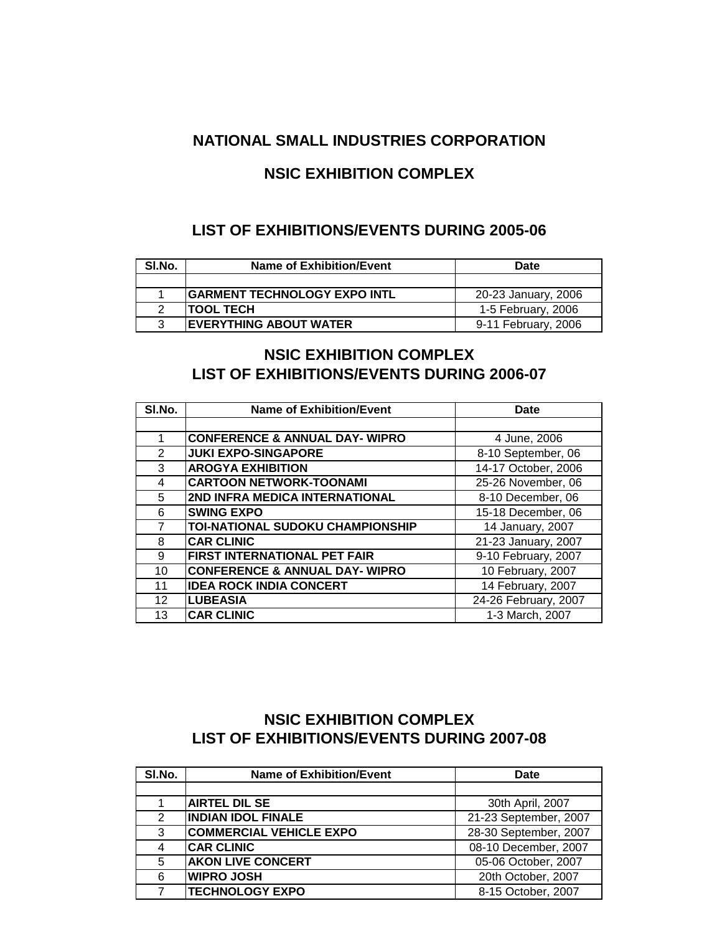### **NATIONAL SMALL INDUSTRIES CORPORATION**

## **NSIC EXHIBITION COMPLEX**

#### **LIST OF EXHIBITIONS/EVENTS DURING 2005-06**

| SI.No. | <b>Name of Exhibition/Event</b>     | Date                |
|--------|-------------------------------------|---------------------|
|        |                                     |                     |
|        | <b>GARMENT TECHNOLOGY EXPO INTL</b> | 20-23 January, 2006 |
| າ      | <b>ITOOL TECH</b>                   | 1-5 February, 2006  |
| વ      | <b>IEVERYTHING ABOUT WATER</b>      | 9-11 February, 2006 |

## **LIST OF EXHIBITIONS/EVENTS DURING 2006-07 NSIC EXHIBITION COMPLEX**

| SI.No.        | <b>Name of Exhibition/Event</b>           | <b>Date</b>          |
|---------------|-------------------------------------------|----------------------|
|               |                                           |                      |
| 1             | <b>CONFERENCE &amp; ANNUAL DAY- WIPRO</b> | 4 June, 2006         |
| $\mathcal{P}$ | <b>JUKI EXPO-SINGAPORE</b>                | 8-10 September, 06   |
| 3             | <b>AROGYA EXHIBITION</b>                  | 14-17 October, 2006  |
| 4             | <b>CARTOON NETWORK-TOONAMI</b>            | 25-26 November, 06   |
| 5             | 2ND INFRA MEDICA INTERNATIONAL            | 8-10 December, 06    |
| 6             | <b>SWING EXPO</b>                         | 15-18 December, 06   |
| 7             | <b>TOI-NATIONAL SUDOKU CHAMPIONSHIP</b>   | 14 January, 2007     |
| 8             | <b>CAR CLINIC</b>                         | 21-23 January, 2007  |
| 9             | <b>FIRST INTERNATIONAL PET FAIR</b>       | 9-10 February, 2007  |
| 10            | <b>CONFERENCE &amp; ANNUAL DAY- WIPRO</b> | 10 February, 2007    |
| 11            | <b>IDEA ROCK INDIA CONCERT</b>            | 14 February, 2007    |
| 12            | <b>LUBEASIA</b>                           | 24-26 February, 2007 |
| 13            | <b>CAR CLINIC</b>                         | 1-3 March, 2007      |

## **LIST OF EXHIBITIONS/EVENTS DURING 2007-08 NSIC EXHIBITION COMPLEX**

| SI.No. | <b>Name of Exhibition/Event</b> | <b>Date</b>           |
|--------|---------------------------------|-----------------------|
|        |                                 |                       |
|        | <b>AIRTEL DIL SE</b>            | 30th April, 2007      |
| 2      | <b>INDIAN IDOL FINALE</b>       | 21-23 September, 2007 |
| 3      | <b>COMMERCIAL VEHICLE EXPO</b>  | 28-30 September, 2007 |
| 4      | <b>CAR CLINIC</b>               | 08-10 December, 2007  |
| 5      | <b>AKON LIVE CONCERT</b>        | 05-06 October, 2007   |
| 6      | <b>WIPRO JOSH</b>               | 20th October, 2007    |
|        | <b>TECHNOLOGY EXPO</b>          | 8-15 October, 2007    |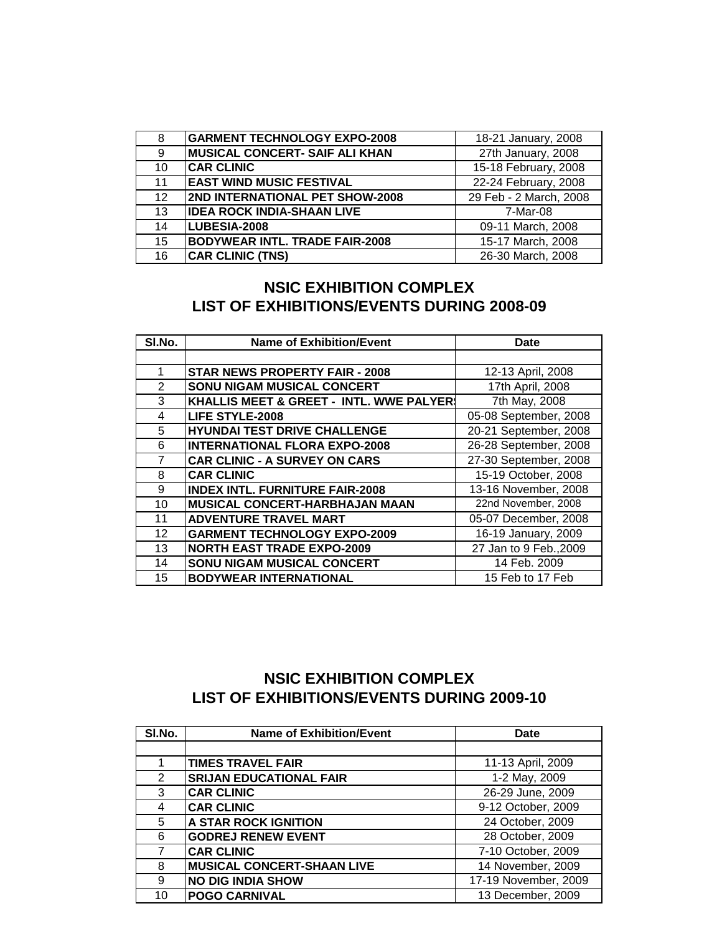| 8               | <b>GARMENT TECHNOLOGY EXPO-2008</b>    | 18-21 January, 2008    |
|-----------------|----------------------------------------|------------------------|
| 9               | <b>MUSICAL CONCERT- SAIF ALI KHAN</b>  | 27th January, 2008     |
| 10              | <b>CAR CLINIC</b>                      | 15-18 February, 2008   |
| 11              | <b>EAST WIND MUSIC FESTIVAL</b>        | 22-24 February, 2008   |
| 12 <sup>2</sup> | <b>2ND INTERNATIONAL PET SHOW-2008</b> | 29 Feb - 2 March, 2008 |
| 13              | <b>IDEA ROCK INDIA-SHAAN LIVE</b>      | 7-Mar-08               |
| 14              | LUBESIA-2008                           | 09-11 March, 2008      |
| 15              | <b>BODYWEAR INTL. TRADE FAIR-2008</b>  | 15-17 March, 2008      |
| 16              | <b>CAR CLINIC (TNS)</b>                | 26-30 March, 2008      |

#### **LIST OF EXHIBITIONS/EVENTS DURING 2008-09 NSIC EXHIBITION COMPLEX**

| SI.No.          | <b>Name of Exhibition/Event</b>         | Date                   |
|-----------------|-----------------------------------------|------------------------|
|                 |                                         |                        |
| 1               | <b>STAR NEWS PROPERTY FAIR - 2008</b>   | 12-13 April, 2008      |
| 2               | <b>SONU NIGAM MUSICAL CONCERT</b>       | 17th April, 2008       |
| 3               | KHALLIS MEET & GREET - INTL. WWE PALYER | 7th May, 2008          |
| 4               | <b>LIFE STYLE-2008</b>                  | 05-08 September, 2008  |
| 5               | <b>HYUNDAI TEST DRIVE CHALLENGE</b>     | 20-21 September, 2008  |
| 6               | <b>INTERNATIONAL FLORA EXPO-2008</b>    | 26-28 September, 2008  |
| 7               | <b>CAR CLINIC - A SURVEY ON CARS</b>    | 27-30 September, 2008  |
| 8               | <b>CAR CLINIC</b>                       | 15-19 October, 2008    |
| 9               | <b>INDEX INTL. FURNITURE FAIR-2008</b>  | 13-16 November, 2008   |
| 10              | <b>MUSICAL CONCERT-HARBHAJAN MAAN</b>   | 22nd November, 2008    |
| 11              | <b>ADVENTURE TRAVEL MART</b>            | 05-07 December, 2008   |
| 12 <sup>2</sup> | <b>GARMENT TECHNOLOGY EXPO-2009</b>     | 16-19 January, 2009    |
| 13              | <b>NORTH EAST TRADE EXPO-2009</b>       | 27 Jan to 9 Feb., 2009 |
| 14              | SONU NIGAM MUSICAL CONCERT              | 14 Feb. 2009           |
| 15              | <b>BODYWEAR INTERNATIONAL</b>           | 15 Feb to 17 Feb       |

# **NSIC EXHIBITION COMPLEX LIST OF EXHIBITIONS/EVENTS DURING 2009-10**

| SI.No.        | <b>Name of Exhibition/Event</b>   | <b>Date</b>          |
|---------------|-----------------------------------|----------------------|
|               |                                   |                      |
|               | <b>TIMES TRAVEL FAIR</b>          | 11-13 April, 2009    |
| $\mathcal{P}$ | <b>SRIJAN EDUCATIONAL FAIR</b>    | 1-2 May, 2009        |
| 3             | <b>CAR CLINIC</b>                 | 26-29 June, 2009     |
| 4             | <b>CAR CLINIC</b>                 | 9-12 October, 2009   |
| 5             | <b>A STAR ROCK IGNITION</b>       | 24 October, 2009     |
| 6             | <b>GODREJ RENEW EVENT</b>         | 28 October, 2009     |
| 7             | <b>CAR CLINIC</b>                 | 7-10 October, 2009   |
| 8             | <b>MUSICAL CONCERT-SHAAN LIVE</b> | 14 November, 2009    |
| 9             | <b>NO DIG INDIA SHOW</b>          | 17-19 November, 2009 |
| 10            | <b>POGO CARNIVAL</b>              | 13 December, 2009    |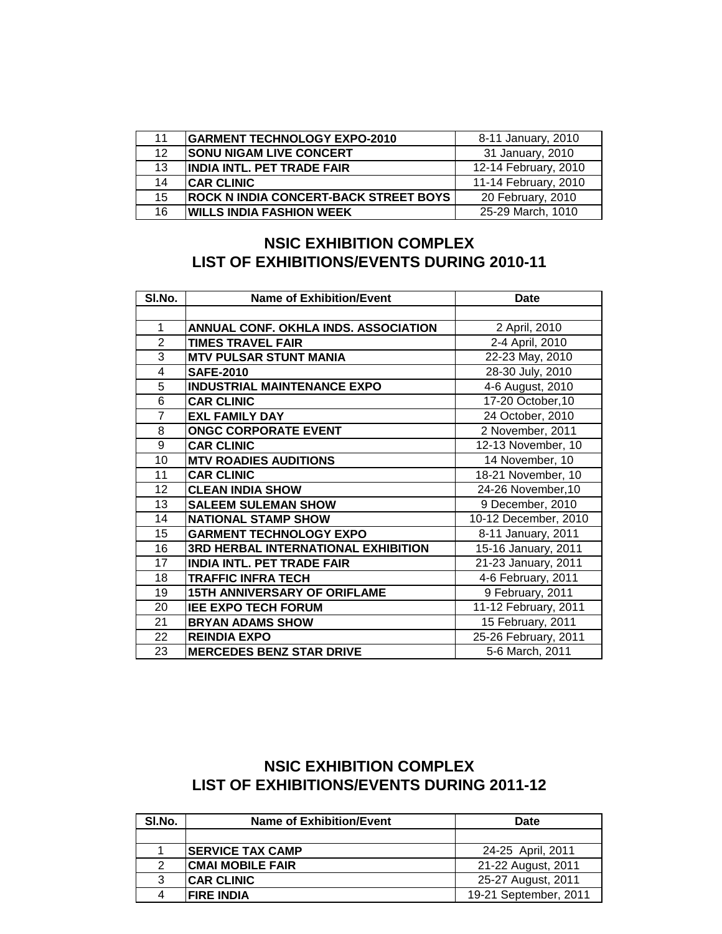| 11              | <b>GARMENT TECHNOLOGY EXPO-2010</b>          | 8-11 January, 2010   |
|-----------------|----------------------------------------------|----------------------|
| 12 <sup>1</sup> | <b>SONU NIGAM LIVE CONCERT</b>               | 31 January, 2010     |
| 13              | <b>IINDIA INTL. PET TRADE FAIR</b>           | 12-14 February, 2010 |
| 14              | <b>CAR CLINIC</b>                            | 11-14 February, 2010 |
| 15              | <b>ROCK N INDIA CONCERT-BACK STREET BOYS</b> | 20 February, 2010    |
| 16              | <b>IWILLS INDIA FASHION WEEK</b>             | 25-29 March, 1010    |

### **LIST OF EXHIBITIONS/EVENTS DURING 2010-11 NSIC EXHIBITION COMPLEX**

| SI.No.         | <b>Name of Exhibition/Event</b>            | <b>Date</b>          |
|----------------|--------------------------------------------|----------------------|
|                |                                            |                      |
| 1              | ANNUAL CONF. OKHLA INDS. ASSOCIATION       | 2 April, 2010        |
| $\overline{2}$ | <b>TIMES TRAVEL FAIR</b>                   | 2-4 April, 2010      |
| 3              | <b>MTV PULSAR STUNT MANIA</b>              | 22-23 May, 2010      |
| 4              | <b>SAFE-2010</b>                           | 28-30 July, 2010     |
| 5              | <b>INDUSTRIAL MAINTENANCE EXPO</b>         | 4-6 August, 2010     |
| 6              | <b>CAR CLINIC</b>                          | 17-20 October, 10    |
| 7              | <b>EXL FAMILY DAY</b>                      | 24 October, 2010     |
| 8              | <b>ONGC CORPORATE EVENT</b>                | 2 November, 2011     |
| 9              | <b>CAR CLINIC</b>                          | 12-13 November, 10   |
| 10             | <b>MTV ROADIES AUDITIONS</b>               | 14 November, 10      |
| 11             | <b>CAR CLINIC</b>                          | 18-21 November, 10   |
| 12             | <b>CLEAN INDIA SHOW</b>                    | 24-26 November, 10   |
| 13             | <b>SALEEM SULEMAN SHOW</b>                 | 9 December, 2010     |
| 14             | <b>NATIONAL STAMP SHOW</b>                 | 10-12 December, 2010 |
| 15             | <b>GARMENT TECHNOLOGY EXPO</b>             | 8-11 January, 2011   |
| 16             | <b>3RD HERBAL INTERNATIONAL EXHIBITION</b> | 15-16 January, 2011  |
| 17             | <b>INDIA INTL. PET TRADE FAIR</b>          | 21-23 January, 2011  |
| 18             | <b>TRAFFIC INFRA TECH</b>                  | 4-6 February, 2011   |
| 19             | <b>15TH ANNIVERSARY OF ORIFLAME</b>        | 9 February, 2011     |
| 20             | <b>IEE EXPO TECH FORUM</b>                 | 11-12 February, 2011 |
| 21             | <b>BRYAN ADAMS SHOW</b>                    | 15 February, 2011    |
| 22             | <b>REINDIA EXPO</b>                        | 25-26 February, 2011 |
| 23             | <b>MERCEDES BENZ STAR DRIVE</b>            | 5-6 March, 2011      |

# **NSIC EXHIBITION COMPLEX LIST OF EXHIBITIONS/EVENTS DURING 2011-12**

| SI.No. | Name of Exhibition/Event | Date                  |
|--------|--------------------------|-----------------------|
|        |                          |                       |
|        | <b>SERVICE TAX CAMP</b>  | 24-25 April, 2011     |
|        | <b>ICMAI MOBILE FAIR</b> | 21-22 August, 2011    |
| 3      | <b>ICAR CLINIC</b>       | 25-27 August, 2011    |
| 4      | <b>FIRE INDIA</b>        | 19-21 September, 2011 |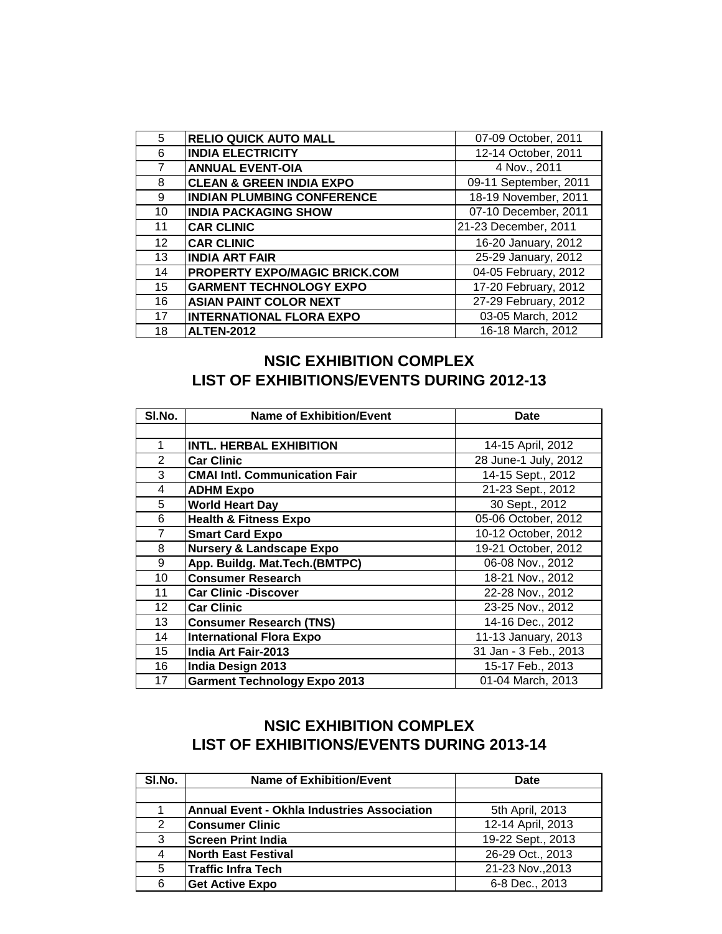| 5               | <b>RELIO QUICK AUTO MALL</b>         | 07-09 October, 2011   |
|-----------------|--------------------------------------|-----------------------|
| 6               | <b>INDIA ELECTRICITY</b>             | 12-14 October, 2011   |
|                 | <b>ANNUAL EVENT-OIA</b>              | 4 Nov., 2011          |
| 8               | <b>CLEAN &amp; GREEN INDIA EXPO</b>  | 09-11 September, 2011 |
| 9               | <b>INDIAN PLUMBING CONFERENCE</b>    | 18-19 November, 2011  |
| 10              | <b>INDIA PACKAGING SHOW</b>          | 07-10 December, 2011  |
| 11              | <b>CAR CLINIC</b>                    | 21-23 December, 2011  |
| 12 <sup>2</sup> | <b>CAR CLINIC</b>                    | 16-20 January, 2012   |
| 13              | <b>INDIA ART FAIR</b>                | 25-29 January, 2012   |
| 14              | <b>PROPERTY EXPO/MAGIC BRICK.COM</b> | 04-05 February, 2012  |
| 15              | <b>GARMENT TECHNOLOGY EXPO</b>       | 17-20 February, 2012  |
| 16              | <b>ASIAN PAINT COLOR NEXT</b>        | 27-29 February, 2012  |
| 17              | <b>INTERNATIONAL FLORA EXPO</b>      | 03-05 March, 2012     |
| 18              | <b>ALTEN-2012</b>                    | 16-18 March, 2012     |

### **NSIC EXHIBITION COMPLEX LIST OF EXHIBITIONS/EVENTS DURING 2012-13**

| SI.No.          | <b>Name of Exhibition/Event</b>      | <b>Date</b>           |
|-----------------|--------------------------------------|-----------------------|
|                 |                                      |                       |
| 1               | <b>INTL. HERBAL EXHIBITION</b>       | 14-15 April, 2012     |
| $\mathbf{2}$    | <b>Car Clinic</b>                    | 28 June-1 July, 2012  |
| 3               | <b>CMAI Intl. Communication Fair</b> | 14-15 Sept., 2012     |
| 4               | <b>ADHM Expo</b>                     | 21-23 Sept., 2012     |
| 5               | <b>World Heart Day</b>               | 30 Sept., 2012        |
| 6               | <b>Health &amp; Fitness Expo</b>     | 05-06 October, 2012   |
| 7               | <b>Smart Card Expo</b>               | 10-12 October, 2012   |
| 8               | <b>Nursery &amp; Landscape Expo</b>  | 19-21 October, 2012   |
| 9               | App. Buildg. Mat. Tech. (BMTPC)      | 06-08 Nov., 2012      |
| 10              | <b>Consumer Research</b>             | 18-21 Nov., 2012      |
| 11              | <b>Car Clinic -Discover</b>          | 22-28 Nov., 2012      |
| 12 <sup>2</sup> | <b>Car Clinic</b>                    | 23-25 Nov., 2012      |
| 13              | <b>Consumer Research (TNS)</b>       | 14-16 Dec., 2012      |
| 14              | <b>International Flora Expo</b>      | 11-13 January, 2013   |
| 15              | India Art Fair-2013                  | 31 Jan - 3 Feb., 2013 |
| 16              | India Design 2013                    | 15-17 Feb., 2013      |
| 17              | <b>Garment Technology Expo 2013</b>  | 01-04 March, 2013     |

## **LIST OF EXHIBITIONS/EVENTS DURING 2013-14 NSIC EXHIBITION COMPLEX**

| SI.No. | <b>Name of Exhibition/Event</b>                    | Date              |
|--------|----------------------------------------------------|-------------------|
|        |                                                    |                   |
|        | <b>Annual Event - Okhla Industries Association</b> | 5th April, 2013   |
| 2      | <b>Consumer Clinic</b>                             | 12-14 April, 2013 |
| 3      | <b>Screen Print India</b>                          | 19-22 Sept., 2013 |
| 4      | <b>North East Festival</b>                         | 26-29 Oct., 2013  |
| 5      | <b>Traffic Infra Tech</b>                          | 21-23 Nov., 2013  |
| 6      | <b>Get Active Expo</b>                             | 6-8 Dec., 2013    |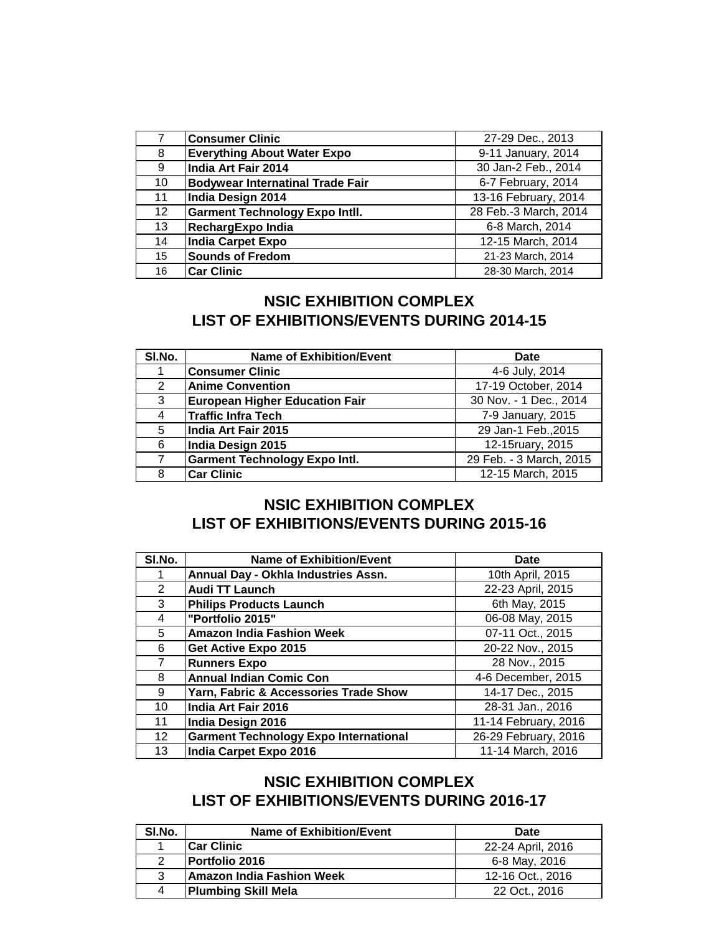|                 | <b>Consumer Clinic</b>                  | 27-29 Dec., 2013      |
|-----------------|-----------------------------------------|-----------------------|
| 8               | <b>Everything About Water Expo</b>      | 9-11 January, 2014    |
| 9               | India Art Fair 2014                     | 30 Jan-2 Feb., 2014   |
| 10              | <b>Bodywear Internatinal Trade Fair</b> | 6-7 February, 2014    |
| 11              | India Design 2014                       | 13-16 February, 2014  |
| 12 <sup>2</sup> | <b>Garment Technology Expo Intll.</b>   | 28 Feb.-3 March, 2014 |
| 13              | RechargExpo India                       | 6-8 March, 2014       |
| 14              | <b>India Carpet Expo</b>                | 12-15 March, 2014     |
| 15              | <b>Sounds of Fredom</b>                 | 21-23 March, 2014     |
| 16              | <b>Car Clinic</b>                       | 28-30 March, 2014     |

### **NSIC EXHIBITION COMPLEX LIST OF EXHIBITIONS/EVENTS DURING 2014-15**

| SI.No. | <b>Name of Exhibition/Event</b>       | <b>Date</b>             |
|--------|---------------------------------------|-------------------------|
|        | <b>Consumer Clinic</b>                | 4-6 July, 2014          |
| 2      | <b>Anime Convention</b>               | 17-19 October, 2014     |
| 3      | <b>European Higher Education Fair</b> | 30 Nov. - 1 Dec., 2014  |
| 4      | <b>Traffic Infra Tech</b>             | 7-9 January, 2015       |
| 5      | India Art Fair 2015                   | 29 Jan-1 Feb., 2015     |
| 6      | India Design 2015                     | 12-15ruary, 2015        |
| 7      | <b>Garment Technology Expo Intl.</b>  | 29 Feb. - 3 March, 2015 |
| 8      | <b>Car Clinic</b>                     | 12-15 March, 2015       |

### **NSIC EXHIBITION COMPLEX LIST OF EXHIBITIONS/EVENTS DURING 2015-16**

| SI.No. | <b>Name of Exhibition/Event</b>              | <b>Date</b>          |
|--------|----------------------------------------------|----------------------|
|        | Annual Day - Okhla Industries Assn.          | 10th April, 2015     |
| 2      | <b>Audi TT Launch</b>                        | 22-23 April, 2015    |
| 3      | <b>Philips Products Launch</b>               | 6th May, 2015        |
| 4      | "Portfolio 2015"                             | 06-08 May, 2015      |
| 5      | <b>Amazon India Fashion Week</b>             | 07-11 Oct., 2015     |
| 6      | Get Active Expo 2015                         | 20-22 Nov., 2015     |
| 7      | <b>Runners Expo</b>                          | 28 Nov., 2015        |
| 8      | <b>Annual Indian Comic Con</b>               | 4-6 December, 2015   |
| 9      | Yarn, Fabric & Accessories Trade Show        | 14-17 Dec., 2015     |
| 10     | India Art Fair 2016                          | 28-31 Jan., 2016     |
| 11     | India Design 2016                            | 11-14 February, 2016 |
| 12     | <b>Garment Technology Expo International</b> | 26-29 February, 2016 |
| 13     | India Carpet Expo 2016                       | 11-14 March, 2016    |

### **NSIC EXHIBITION COMPLEX LIST OF EXHIBITIONS/EVENTS DURING 2016-17**

| SI.No. | Name of Exhibition/Event   | <b>Date</b>       |
|--------|----------------------------|-------------------|
|        | <b>Car Clinic</b>          | 22-24 April, 2016 |
| 2      | <b>Portfolio 2016</b>      | 6-8 May, 2016     |
| 3      | Amazon India Fashion Week  | 12-16 Oct., 2016  |
| 4      | <b>Plumbing Skill Mela</b> | 22 Oct., 2016     |